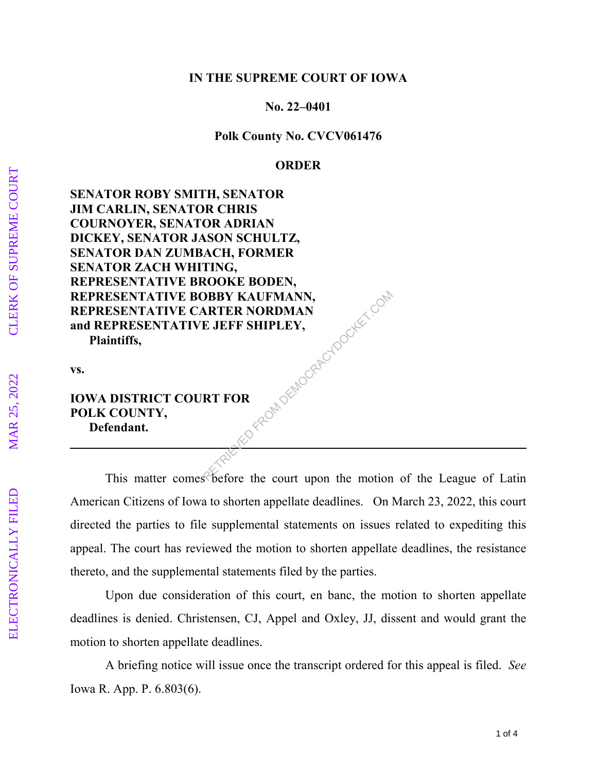## **IN THE SUPREME COURT OF IOWA**

 **No. 22–0401** 

**Polk County No. CVCV061476** 

## **ORDER**

**SENATOR ROBY SMITH, SENATOR JIM CARLIN, SENATOR CHRIS COURNOYER, SENATOR ADRIAN DICKEY, SENATOR JASON SCHULTZ, SENATOR DAN ZUMBACH, FORMER SENATOR ZACH WHITING, REPRESENTATIVE BROOKE BODEN, REPRESENTATIVE BOBBY KAUFMANN, REPRESENTATIVE CARTER NORDMAN and REPRESENTATIVE JEFF SHIPLEY, Plaintiffs,**  RED FROM DEMOCRACYDOCKET.COM

**vs.** 

## **IOWA DISTRICT COURT FOR POLK COUNTY, Defendant.**

 This matter comes before the court upon the motion of the League of Latin American Citizens of Iowa to shorten appellate deadlines. On March 23, 2022, this court directed the parties to file supplemental statements on issues related to expediting this appeal. The court has reviewed the motion to shorten appellate deadlines, the resistance thereto, and the supplemental statements filed by the parties.

Upon due consideration of this court, en banc, the motion to shorten appellate deadlines is denied. Christensen, CJ, Appel and Oxley, JJ, dissent and would grant the motion to shorten appellate deadlines.

A briefing notice will issue once the transcript ordered for this appeal is filed. *See* Iowa R. App. P. 6.803(6).

**ELECTRONICALLY FILED**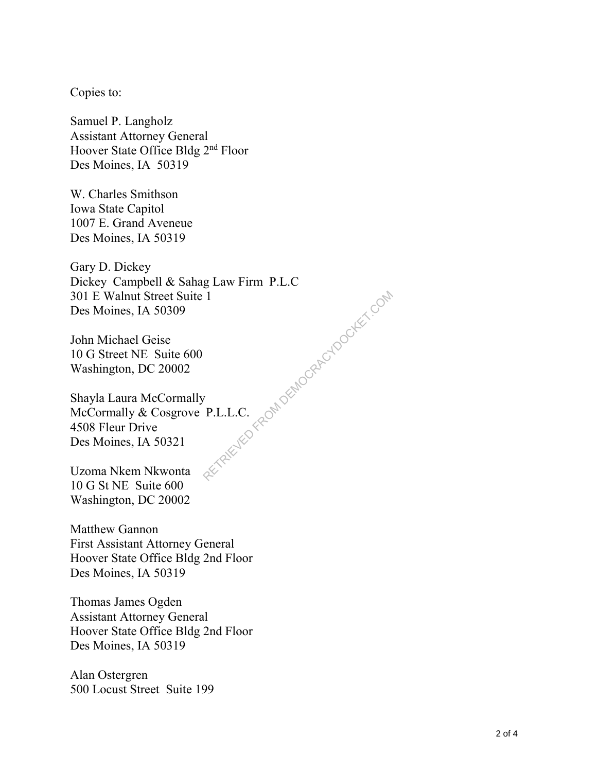Copies to:

Samuel P. Langholz Assistant Attorney General Hoover State Office Bldg 2nd Floor Des Moines, IA 50319

W. Charles Smithson Iowa State Capitol 1007 E. Grand Aveneue Des Moines, IA 50319

Gary D. Dickey Dickey Campbell & Sahag Law Firm P.L.C 301 E Walnut Street Suite 1 Des Moines, IA 50309 RETRIEVED FROM DEMOCRAEU DOCKET.COM

John Michael Geise 10 G Street NE Suite 600 Washington, DC 20002

Shayla Laura McCormally McCormally & Cosgrove P.L.L.C. 4508 Fleur Drive Des Moines, IA 50321

Uzoma Nkem Nkwonta 10 G St NE Suite 600 Washington, DC 20002

Matthew Gannon First Assistant Attorney General Hoover State Office Bldg 2nd Floor Des Moines, IA 50319

Thomas James Ogden Assistant Attorney General Hoover State Office Bldg 2nd Floor Des Moines, IA 50319

Alan Ostergren 500 Locust Street Suite 199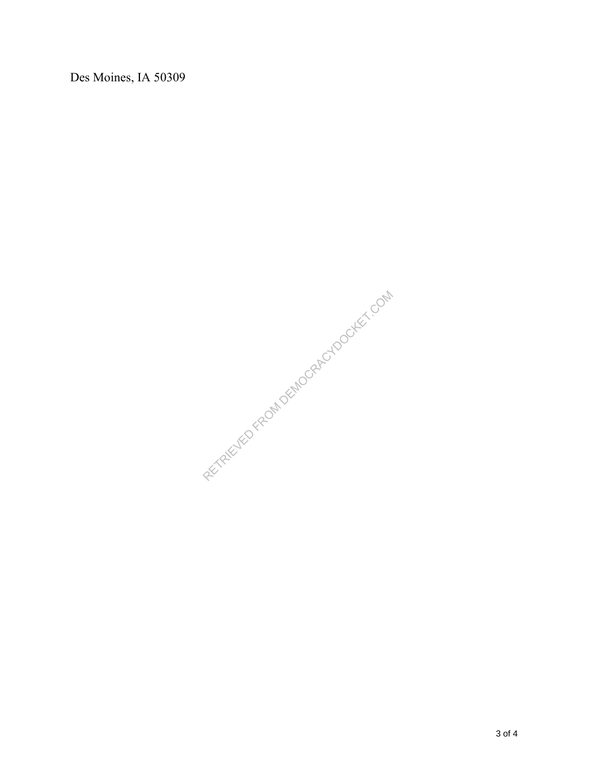Des Moines, IA 50309

RETRIEVED FROM DEMOCRACYDOCKET.COM